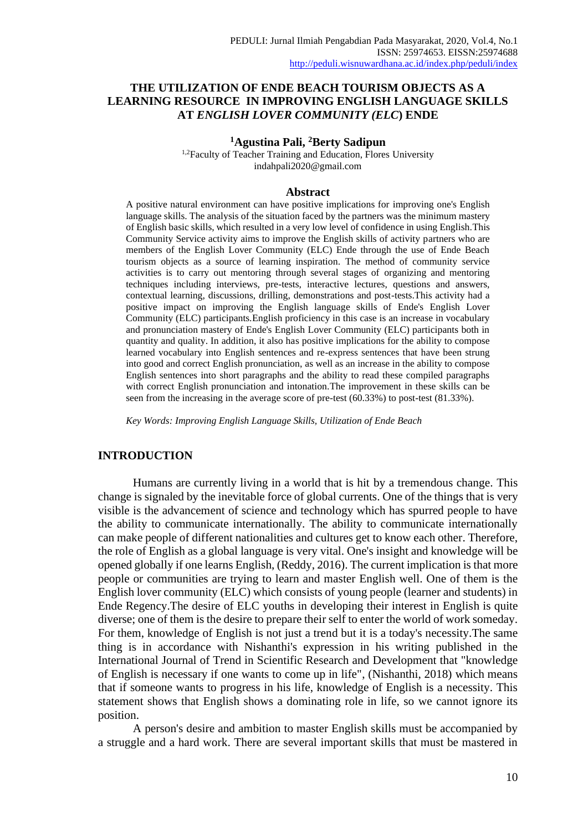# **THE UTILIZATION OF ENDE BEACH TOURISM OBJECTS AS A LEARNING RESOURCE IN IMPROVING ENGLISH LANGUAGE SKILLS AT** *ENGLISH LOVER COMMUNITY (ELC***) ENDE**

### **<sup>1</sup>Agustina Pali, <sup>2</sup>Berty Sadipun**

<sup>1,2</sup>Faculty of Teacher Training and Education, Flores University [indahpali2020@gmail.com](mailto:indahpali2020@gmail.com)

#### **Abstract**

A positive natural environment can have positive implications for improving one's English language skills. The analysis of the situation faced by the partners was the minimum mastery of English basic skills, which resulted in a very low level of confidence in using English.This Community Service activity aims to improve the English skills of activity partners who are members of the English Lover Community (ELC) Ende through the use of Ende Beach tourism objects as a source of learning inspiration. The method of community service activities is to carry out mentoring through several stages of organizing and mentoring techniques including interviews, pre-tests, interactive lectures, questions and answers, contextual learning, discussions, drilling, demonstrations and post-tests.This activity had a positive impact on improving the English language skills of Ende's English Lover Community (ELC) participants.English proficiency in this case is an increase in vocabulary and pronunciation mastery of Ende's English Lover Community (ELC) participants both in quantity and quality. In addition, it also has positive implications for the ability to compose learned vocabulary into English sentences and re-express sentences that have been strung into good and correct English pronunciation, as well as an increase in the ability to compose English sentences into short paragraphs and the ability to read these compiled paragraphs with correct English pronunciation and intonation.The improvement in these skills can be seen from the increasing in the average score of pre-test (60.33%) to post-test (81.33%).

*Key Words: Improving English Language Skills, Utilization of Ende Beach*

#### **INTRODUCTION**

Humans are currently living in a world that is hit by a tremendous change. This change is signaled by the inevitable force of global currents. One of the things that is very visible is the advancement of science and technology which has spurred people to have the ability to communicate internationally. The ability to communicate internationally can make people of different nationalities and cultures get to know each other. Therefore, the role of English as a global language is very vital. One's insight and knowledge will be opened globally if one learns English, (Reddy, 2016). The current implication is that more people or communities are trying to learn and master English well. One of them is the English lover community (ELC) which consists of young people (learner and students) in Ende Regency.The desire of ELC youths in developing their interest in English is quite diverse; one of them is the desire to prepare their self to enter the world of work someday. For them, knowledge of English is not just a trend but it is a today's necessity.The same thing is in accordance with Nishanthi's expression in his writing published in the International Journal of Trend in Scientific Research and Development that "knowledge of English is necessary if one wants to come up in life", (Nishanthi, 2018) which means that if someone wants to progress in his life, knowledge of English is a necessity. This statement shows that English shows a dominating role in life, so we cannot ignore its position.

A person's desire and ambition to master English skills must be accompanied by a struggle and a hard work. There are several important skills that must be mastered in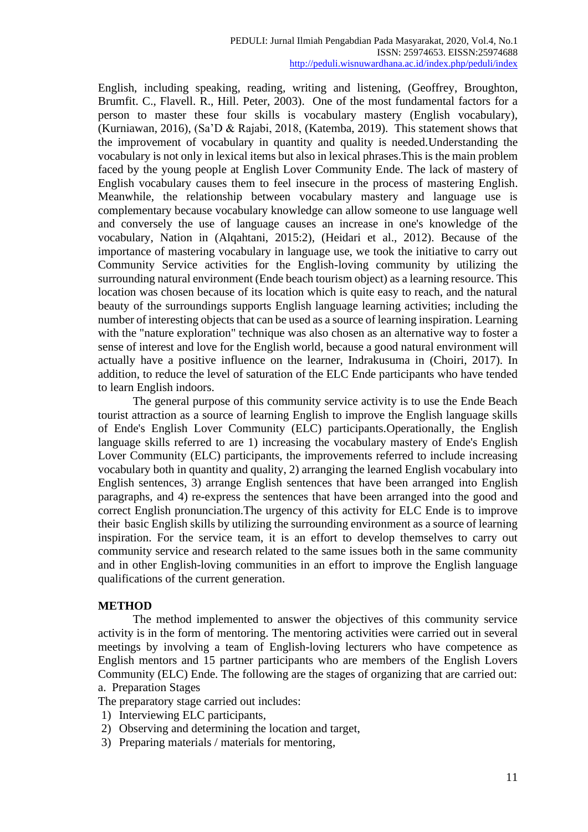English, including speaking, reading, writing and listening, (Geoffrey, Broughton, Brumfit. C., Flavell. R., Hill. Peter, 2003). One of the most fundamental factors for a person to master these four skills is vocabulary mastery (English vocabulary), (Kurniawan, 2016), (Sa'D & Rajabi, 2018, (Katemba, 2019). This statement shows that the improvement of vocabulary in quantity and quality is needed.Understanding the vocabulary is not only in lexical items but also in lexical phrases.This is the main problem faced by the young people at English Lover Community Ende. The lack of mastery of English vocabulary causes them to feel insecure in the process of mastering English. Meanwhile, the relationship between vocabulary mastery and language use is complementary because vocabulary knowledge can allow someone to use language well and conversely the use of language causes an increase in one's knowledge of the vocabulary, Nation in (Alqahtani, 2015:2), (Heidari et al., 2012). Because of the importance of mastering vocabulary in language use, we took the initiative to carry out Community Service activities for the English-loving community by utilizing the surrounding natural environment (Ende beach tourism object) as a learning resource. This location was chosen because of its location which is quite easy to reach, and the natural beauty of the surroundings supports English language learning activities; including the number of interesting objects that can be used as a source of learning inspiration. Learning with the "nature exploration" technique was also chosen as an alternative way to foster a sense of interest and love for the English world, because a good natural environment will actually have a positive influence on the learner, Indrakusuma in (Choiri, 2017). In addition, to reduce the level of saturation of the ELC Ende participants who have tended to learn English indoors.

The general purpose of this community service activity is to use the Ende Beach tourist attraction as a source of learning English to improve the English language skills of Ende's English Lover Community (ELC) participants.Operationally, the English language skills referred to are 1) increasing the vocabulary mastery of Ende's English Lover Community (ELC) participants, the improvements referred to include increasing vocabulary both in quantity and quality, 2) arranging the learned English vocabulary into English sentences, 3) arrange English sentences that have been arranged into English paragraphs, and 4) re-express the sentences that have been arranged into the good and correct English pronunciation.The urgency of this activity for ELC Ende is to improve their basic English skills by utilizing the surrounding environment as a source of learning inspiration. For the service team, it is an effort to develop themselves to carry out community service and research related to the same issues both in the same community and in other English-loving communities in an effort to improve the English language qualifications of the current generation.

# **METHOD**

The method implemented to answer the objectives of this community service activity is in the form of mentoring. The mentoring activities were carried out in several meetings by involving a team of English-loving lecturers who have competence as English mentors and 15 partner participants who are members of the English Lovers Community (ELC) Ende. The following are the stages of organizing that are carried out: a. Preparation Stages

The preparatory stage carried out includes:

- 1) Interviewing ELC participants,
- 2) Observing and determining the location and target,
- 3) Preparing materials / materials for mentoring,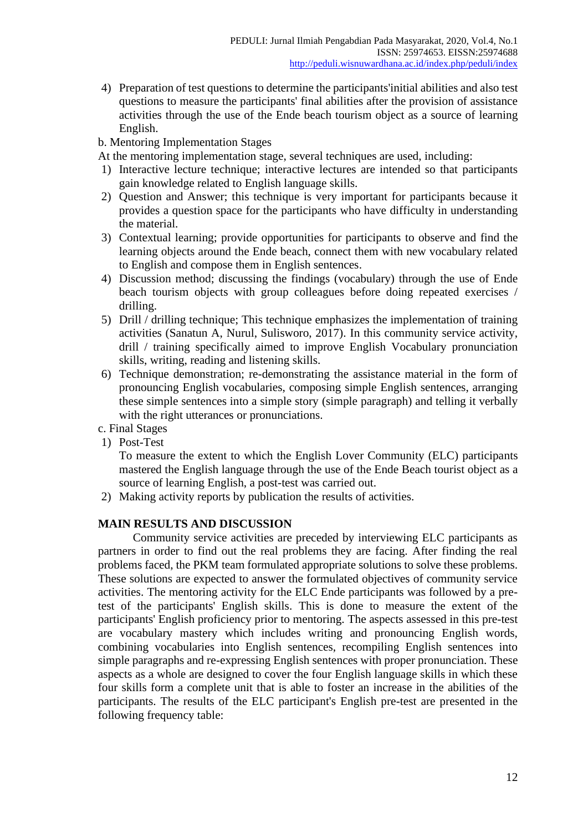4) Preparation of test questions to determine the participants'initial abilities and also test questions to measure the participants' final abilities after the provision of assistance activities through the use of the Ende beach tourism object as a source of learning English.

# b. Mentoring Implementation Stages

At the mentoring implementation stage, several techniques are used, including:

- 1) Interactive lecture technique; interactive lectures are intended so that participants gain knowledge related to English language skills.
- 2) Question and Answer; this technique is very important for participants because it provides a question space for the participants who have difficulty in understanding the material.
- 3) Contextual learning; provide opportunities for participants to observe and find the learning objects around the Ende beach, connect them with new vocabulary related to English and compose them in English sentences.
- 4) Discussion method; discussing the findings (vocabulary) through the use of Ende beach tourism objects with group colleagues before doing repeated exercises / drilling.
- 5) Drill / drilling technique; This technique emphasizes the implementation of training activities (Sanatun A, Nurul, Sulisworo, 2017). In this community service activity, drill / training specifically aimed to improve English Vocabulary pronunciation skills, writing, reading and listening skills.
- 6) Technique demonstration; re-demonstrating the assistance material in the form of pronouncing English vocabularies, composing simple English sentences, arranging these simple sentences into a simple story (simple paragraph) and telling it verbally with the right utterances or pronunciations.
- c. Final Stages
- 1) Post-Test

To measure the extent to which the English Lover Community (ELC) participants mastered the English language through the use of the Ende Beach tourist object as a source of learning English, a post-test was carried out.

2) Making activity reports by publication the results of activities.

# **MAIN RESULTS AND DISCUSSION**

Community service activities are preceded by interviewing ELC participants as partners in order to find out the real problems they are facing. After finding the real problems faced, the PKM team formulated appropriate solutions to solve these problems. These solutions are expected to answer the formulated objectives of community service activities. The mentoring activity for the ELC Ende participants was followed by a pretest of the participants' English skills. This is done to measure the extent of the participants' English proficiency prior to mentoring. The aspects assessed in this pre-test are vocabulary mastery which includes writing and pronouncing English words, combining vocabularies into English sentences, recompiling English sentences into simple paragraphs and re-expressing English sentences with proper pronunciation. These aspects as a whole are designed to cover the four English language skills in which these four skills form a complete unit that is able to foster an increase in the abilities of the participants. The results of the ELC participant's English pre-test are presented in the following frequency table: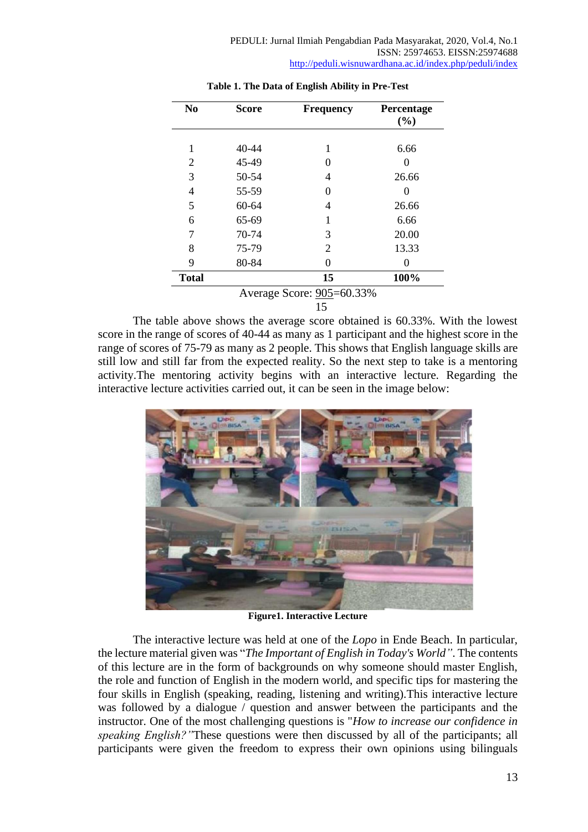| N <sub>0</sub> | <b>Score</b> | <b>Frequency</b>          | Percentage |
|----------------|--------------|---------------------------|------------|
|                |              |                           | (%)        |
| 1              | 40-44        | 1                         | 6.66       |
| 2              | 45-49        | $\theta$                  |            |
| 3              | 50-54        | 4                         | 26.66      |
| 4              | 55-59        | 0                         |            |
| 5              | 60-64        | 4                         | 26.66      |
| 6              | 65-69        | 1                         | 6.66       |
| 7              | 70-74        | 3                         | 20.00      |
| 8              | 75-79        | 2                         | 13.33      |
| 9              | 80-84        | 0                         |            |
| <b>Total</b>   |              | 15                        | 100%       |
|                |              | Average Score: 905=60.33% |            |

### **Table 1. The Data of English Ability in Pre-Test**

15

The table above shows the average score obtained is 60.33%. With the lowest score in the range of scores of 40-44 as many as 1 participant and the highest score in the range of scores of 75-79 as many as 2 people. This shows that English language skills are still low and still far from the expected reality. So the next step to take is a mentoring activity.The mentoring activity begins with an interactive lecture. Regarding the interactive lecture activities carried out, it can be seen in the image below:



**Figure1. Interactive Lecture**

The interactive lecture was held at one of the *Lopo* in Ende Beach. In particular, the lecture material given was "*The Important of English in Today's World"*. The contents of this lecture are in the form of backgrounds on why someone should master English, the role and function of English in the modern world, and specific tips for mastering the four skills in English (speaking, reading, listening and writing).This interactive lecture was followed by a dialogue / question and answer between the participants and the instructor. One of the most challenging questions is "*How to increase our confidence in speaking English?"*These questions were then discussed by all of the participants; all participants were given the freedom to express their own opinions using bilinguals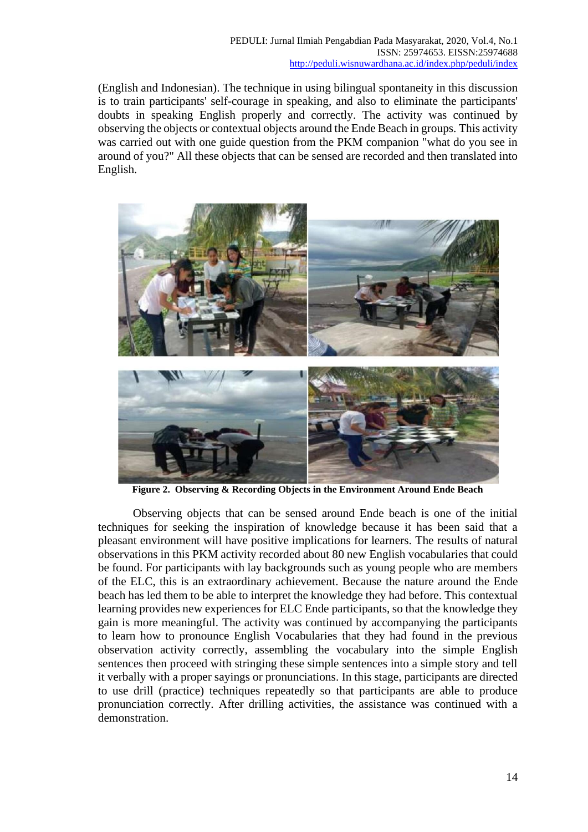(English and Indonesian). The technique in using bilingual spontaneity in this discussion is to train participants' self-courage in speaking, and also to eliminate the participants' doubts in speaking English properly and correctly. The activity was continued by observing the objects or contextual objects around the Ende Beach in groups. This activity was carried out with one guide question from the PKM companion "what do you see in around of you?" All these objects that can be sensed are recorded and then translated into English.



**Figure 2. Observing & Recording Objects in the Environment Around Ende Beach**

Observing objects that can be sensed around Ende beach is one of the initial techniques for seeking the inspiration of knowledge because it has been said that a pleasant environment will have positive implications for learners. The results of natural observations in this PKM activity recorded about 80 new English vocabularies that could be found. For participants with lay backgrounds such as young people who are members of the ELC, this is an extraordinary achievement. Because the nature around the Ende beach has led them to be able to interpret the knowledge they had before. This contextual learning provides new experiences for ELC Ende participants, so that the knowledge they gain is more meaningful. The activity was continued by accompanying the participants to learn how to pronounce English Vocabularies that they had found in the previous observation activity correctly, assembling the vocabulary into the simple English sentences then proceed with stringing these simple sentences into a simple story and tell it verbally with a proper sayings or pronunciations. In this stage, participants are directed to use drill (practice) techniques repeatedly so that participants are able to produce pronunciation correctly. After drilling activities, the assistance was continued with a demonstration.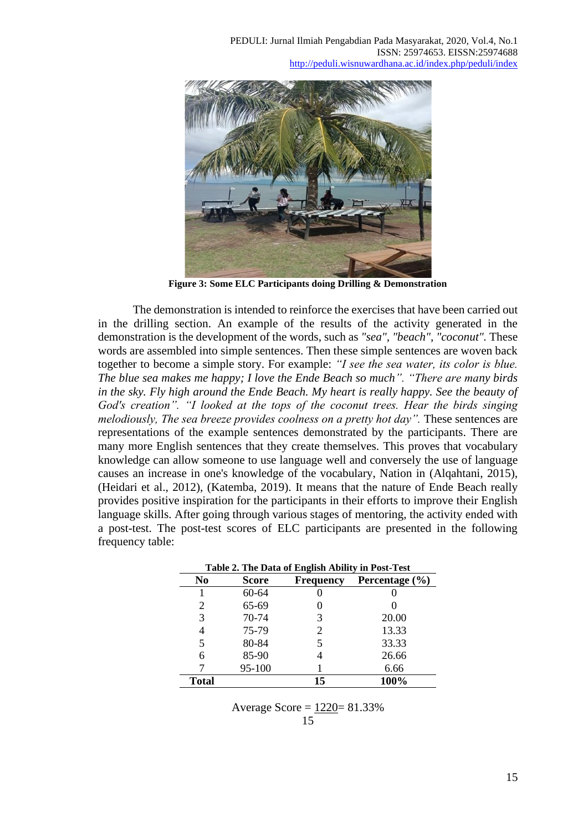

**Figure 3: Some ELC Participants doing Drilling & Demonstration**

The demonstration is intended to reinforce the exercises that have been carried out in the drilling section. An example of the results of the activity generated in the demonstration is the development of the words, such as *"sea", "beach", "coconut".* These words are assembled into simple sentences. Then these simple sentences are woven back together to become a simple story. For example: *"I see the sea water, its color is blue. The blue sea makes me happy; I love the Ende Beach so much". "There are many birds in the sky. Fly high around the Ende Beach. My heart is really happy. See the beauty of God's creation". "I looked at the tops of the coconut trees. Hear the birds singing melodiously, The sea breeze provides coolness on a pretty hot day"*. These sentences are representations of the example sentences demonstrated by the participants. There are many more English sentences that they create themselves. This proves that vocabulary knowledge can allow someone to use language well and conversely the use of language causes an increase in one's knowledge of the vocabulary, Nation in (Alqahtani, 2015), (Heidari et al., 2012), (Katemba, 2019). It means that the nature of Ende Beach really provides positive inspiration for the participants in their efforts to improve their English language skills. After going through various stages of mentoring, the activity ended with a post-test. The post-test scores of ELC participants are presented in the following frequency table:

| Table 2. The Data of English Ability in Post-Test |              |                  |                    |  |
|---------------------------------------------------|--------------|------------------|--------------------|--|
| No                                                | <b>Score</b> | <b>Frequency</b> | Percentage $(\% )$ |  |
|                                                   | 60-64        |                  |                    |  |
| 2                                                 | 65-69        |                  |                    |  |
| 3                                                 | 70-74        | 3                | 20.00              |  |
| 4                                                 | 75-79        |                  | 13.33              |  |
| 5                                                 | 80-84        |                  | 33.33              |  |
| 6                                                 | 85-90        |                  | 26.66              |  |
|                                                   | 95-100       |                  | 6.66               |  |
| <b>Total</b>                                      |              | 15               | 100%               |  |

Average Score = 1220= 81.33% 15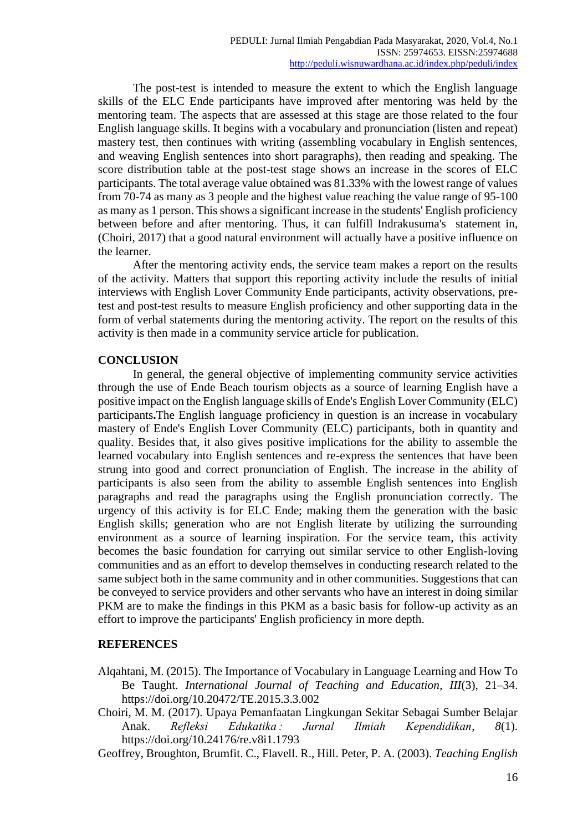The post-test is intended to measure the extent to which the English language skills of the ELC Ende participants have improved after mentoring was held by the mentoring team. The aspects that are assessed at this stage are those related to the four English language skills. It begins with a vocabulary and pronunciation (listen and repeat) mastery test, then continues with writing (assembling vocabulary in English sentences, and weaving English sentences into short paragraphs), then reading and speaking. The score distribution table at the post-test stage shows an increase in the scores of ELC participants. The total average value obtained was 81.33% with the lowest range of values from 70-74 as many as 3 people and the highest value reaching the value range of 95-100 as many as 1 person. This shows a significant increase in the students' English proficiency between before and after mentoring. Thus, it can fulfill Indrakusuma's statement in, (Choiri, 2017) that a good natural environment will actually have a positive influence on the learner.

After the mentoring activity ends, the service team makes a report on the results of the activity. Matters that support this reporting activity include the results of initial interviews with English Lover Community Ende participants, activity observations, pretest and post-test results to measure English proficiency and other supporting data in the form of verbal statements during the mentoring activity. The report on the results of this activity is then made in a community service article for publication.

# **CONCLUSION**

In general, the general objective of implementing community service activities through the use of Ende Beach tourism objects as a source of learning English have a positive impact on the English language skills of Ende's English Lover Community (ELC) participants**.**The English language proficiency in question is an increase in vocabulary mastery of Ende's English Lover Community (ELC) participants, both in quantity and quality. Besides that, it also gives positive implications for the ability to assemble the learned vocabulary into English sentences and re-express the sentences that have been strung into good and correct pronunciation of English. The increase in the ability of participants is also seen from the ability to assemble English sentences into English paragraphs and read the paragraphs using the English pronunciation correctly. The urgency of this activity is for ELC Ende; making them the generation with the basic English skills; generation who are not English literate by utilizing the surrounding environment as a source of learning inspiration. For the service team, this activity becomes the basic foundation for carrying out similar service to other English-loving communities and as an effort to develop themselves in conducting research related to the same subject both in the same community and in other communities. Suggestions that can be conveyed to service providers and other servants who have an interest in doing similar PKM are to make the findings in this PKM as a basic basis for follow-up activity as an effort to improve the participants' English proficiency in more depth.

# **REFERENCES**

- Alqahtani, M. (2015). The Importance of Vocabulary in Language Learning and How To Be Taught. *International Journal of Teaching and Education*, *III*(3), 21–34. https://doi.org/10.20472/TE.2015.3.3.002
- Choiri, M. M. (2017). Upaya Pemanfaatan Lingkungan Sekitar Sebagai Sumber Belajar Anak. *Refleksi Edukatika : Jurnal Ilmiah Kependidikan*, *8*(1). https://doi.org/10.24176/re.v8i1.1793
- Geoffrey, Broughton, Brumfit. C., Flavell. R., Hill. Peter, P. A. (2003). *Teaching English*